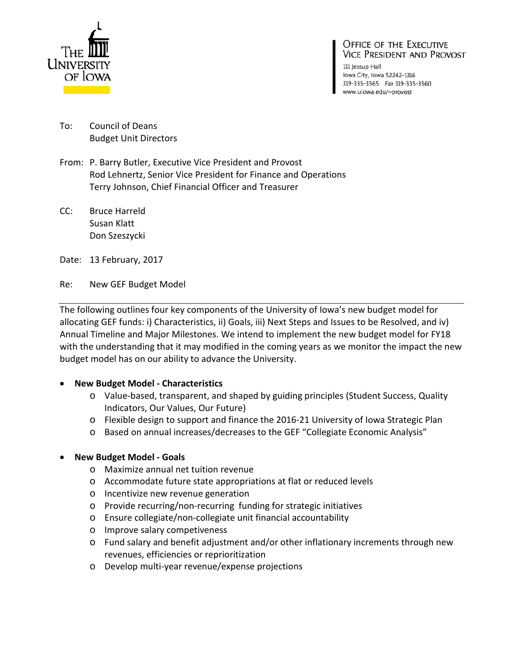

#### **OFFICE OF THE EXECUTIVE VICE PRESIDENT AND PROVOST**

111 Jessup Hall lowa City, Iowa 52242-1316 319-335-3565 Fax 319-335-3560 www.uiowa.edu/~provost

- To: Council of Deans Budget Unit Directors
- From: P. Barry Butler, Executive Vice President and Provost Rod Lehnertz, Senior Vice President for Finance and Operations Terry Johnson, Chief Financial Officer and Treasurer
- CC: Bruce Harreld Susan Klatt Don Szeszycki
- Date: 13 February, 2017
- Re: New GEF Budget Model

The following outlines four key components of the University of Iowa's new budget model for allocating GEF funds: i) Characteristics, ii) Goals, iii) Next Steps and Issues to be Resolved, and iv) Annual Timeline and Major Milestones. We intend to implement the new budget model for FY18 with the understanding that it may modified in the coming years as we monitor the impact the new budget model has on our ability to advance the University.

### • **New Budget Model - Characteristics**

- o Value-based, transparent, and shaped by guiding principles (Student Success, Quality Indicators, Our Values, Our Future)
- o Flexible design to support and finance the 2016-21 University of Iowa Strategic Plan
- o Based on annual increases/decreases to the GEF "Collegiate Economic Analysis"

### • **New Budget Model - Goals**

- o Maximize annual net tuition revenue
- o Accommodate future state appropriations at flat or reduced levels
- o Incentivize new revenue generation
- o Provide recurring/non-recurring funding for strategic initiatives
- o Ensure collegiate/non-collegiate unit financial accountability
- o Improve salary competiveness
- o Fund salary and benefit adjustment and/or other inflationary increments through new revenues, efficiencies or reprioritization
- o Develop multi-year revenue/expense projections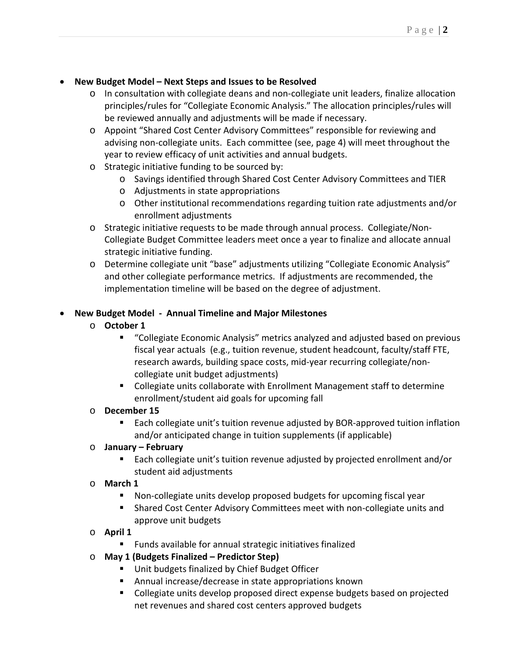## • **New Budget Model – Next Steps and Issues to be Resolved**

- o In consultation with collegiate deans and non-collegiate unit leaders, finalize allocation principles/rules for "Collegiate Economic Analysis." The allocation principles/rules will be reviewed annually and adjustments will be made if necessary.
- o Appoint "Shared Cost Center Advisory Committees" responsible for reviewing and advising non-collegiate units. Each committee (see, page 4) will meet throughout the year to review efficacy of unit activities and annual budgets.
- o Strategic initiative funding to be sourced by:
	- o Savings identified through Shared Cost Center Advisory Committees and TIER
	- o Adjustments in state appropriations
	- o Other institutional recommendations regarding tuition rate adjustments and/or enrollment adjustments
- o Strategic initiative requests to be made through annual process. Collegiate/Non-Collegiate Budget Committee leaders meet once a year to finalize and allocate annual strategic initiative funding.
- o Determine collegiate unit "base" adjustments utilizing "Collegiate Economic Analysis" and other collegiate performance metrics. If adjustments are recommended, the implementation timeline will be based on the degree of adjustment.

# • **New Budget Model - Annual Timeline and Major Milestones**

## o **October 1**

- "Collegiate Economic Analysis" metrics analyzed and adjusted based on previous fiscal year actuals (e.g., tuition revenue, student headcount, faculty/staff FTE, research awards, building space costs, mid-year recurring collegiate/noncollegiate unit budget adjustments)
- Collegiate units collaborate with Enrollment Management staff to determine enrollment/student aid goals for upcoming fall

# o **December 15**

 Each collegiate unit's tuition revenue adjusted by BOR-approved tuition inflation and/or anticipated change in tuition supplements (if applicable)

### o **January – February**

 Each collegiate unit's tuition revenue adjusted by projected enrollment and/or student aid adjustments

# o **March 1**

- Non-collegiate units develop proposed budgets for upcoming fiscal year
- Shared Cost Center Advisory Committees meet with non-collegiate units and approve unit budgets
- o **April 1**
	- Funds available for annual strategic initiatives finalized
- o **May 1 (Budgets Finalized – Predictor Step)**
	- **Unit budgets finalized by Chief Budget Officer**
	- Annual increase/decrease in state appropriations known
	- Collegiate units develop proposed direct expense budgets based on projected net revenues and shared cost centers approved budgets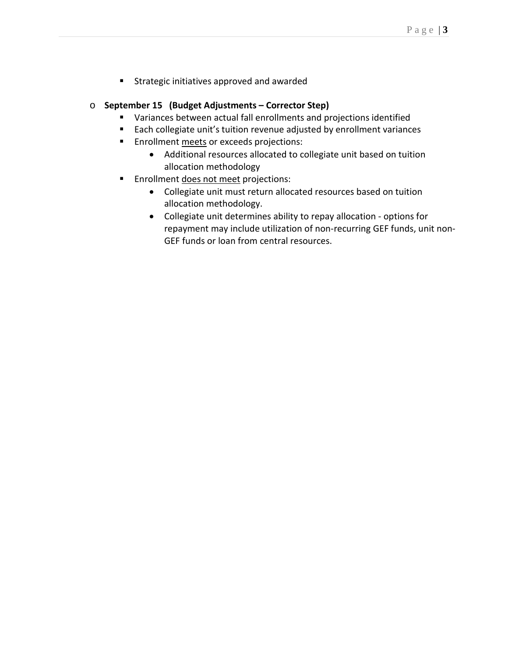Strategic initiatives approved and awarded

#### o **September 15 (Budget Adjustments – Corrector Step)**

- Variances between actual fall enrollments and projections identified
- Each collegiate unit's tuition revenue adjusted by enrollment variances
- **Enrollment meets or exceeds projections:** 
	- Additional resources allocated to collegiate unit based on tuition allocation methodology
- **Enrollment does not meet projections:** 
	- Collegiate unit must return allocated resources based on tuition allocation methodology.
	- Collegiate unit determines ability to repay allocation options for repayment may include utilization of non-recurring GEF funds, unit non-GEF funds or loan from central resources.